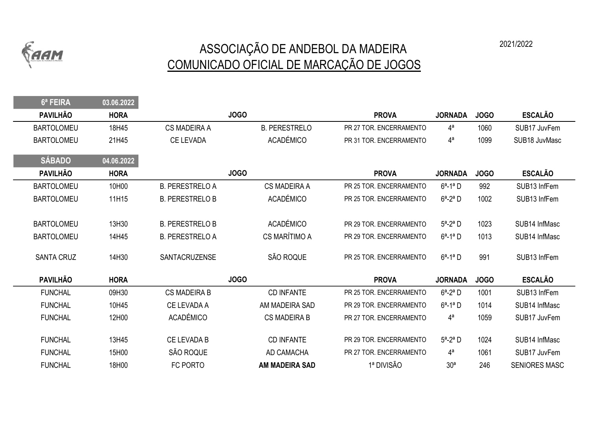

 $6a$  FEIRA 03.06.2022

## ASSOCIAÇÃO DE ANDEBOL DA MADEIRA 2021/2022 COMUNICADO OFICIAL DE MARCAÇÃO DE JOGOS

| <b>D' FEIRA</b>   | UJ.UO.ZUZZ  |                        |                       |                         |                 |             |                      |
|-------------------|-------------|------------------------|-----------------------|-------------------------|-----------------|-------------|----------------------|
| <b>PAVILHÃO</b>   | <b>HORA</b> |                        | <b>JOGO</b>           | <b>PROVA</b>            | <b>JORNADA</b>  | <b>JOGO</b> | <b>ESCALÃO</b>       |
| <b>BARTOLOMEU</b> | 18H45       | <b>CS MADEIRA A</b>    | <b>B. PERESTRELO</b>  | PR 27 TOR. ENCERRAMENTO | $4^a$           | 1060        | SUB17 JuvFem         |
| <b>BARTOLOMEU</b> | 21H45       | CE LEVADA              | <b>ACADÉMICO</b>      | PR 31 TOR. ENCERRAMENTO | $4^a$           | 1099        | SUB18 JuvMasc        |
| <b>SÁBADO</b>     | 04.06.2022  |                        |                       |                         |                 |             |                      |
| <b>PAVILHÃO</b>   | <b>HORA</b> |                        | <b>JOGO</b>           | <b>PROVA</b>            | <b>JORNADA</b>  | <b>JOGO</b> | <b>ESCALÃO</b>       |
| <b>BARTOLOMEU</b> | 10H00       | <b>B. PERESTRELO A</b> | <b>CS MADEIRA A</b>   | PR 25 TOR. ENCERRAMENTO | $6^a - 1^a$ D   | 992         | SUB13 InfFem         |
| <b>BARTOLOMEU</b> | 11H15       | <b>B. PERESTRELO B</b> | <b>ACADÉMICO</b>      | PR 25 TOR. ENCERRAMENTO | $6^a - 2^a$ D   | 1002        | SUB13 InfFem         |
|                   |             |                        |                       |                         |                 |             |                      |
| <b>BARTOLOMEU</b> | 13H30       | <b>B. PERESTRELO B</b> | <b>ACADÉMICO</b>      | PR 29 TOR. ENCERRAMENTO | $5^a - 2^a$ D   | 1023        | SUB14 InfMasc        |
| <b>BARTOLOMEU</b> | 14H45       | <b>B. PERESTRELO A</b> | CS MARÍTIMO A         | PR 29 TOR, ENCERRAMENTO | $6^a - 1^a$ D   | 1013        | SUB14 InfMasc        |
| <b>SANTA CRUZ</b> | 14H30       | SANTACRUZENSE          | SÃO ROQUE             | PR 25 TOR. ENCERRAMENTO | $6^a - 1^a$ D   | 991         | SUB13 InfFem         |
| <b>PAVILHÃO</b>   | <b>HORA</b> |                        | <b>JOGO</b>           | <b>PROVA</b>            | <b>JORNADA</b>  | <b>JOGO</b> | <b>ESCALÃO</b>       |
| <b>FUNCHAL</b>    | 09H30       | <b>CS MADEIRA B</b>    | <b>CD INFANTE</b>     | PR 25 TOR. ENCERRAMENTO | $6^a - 2^a$ D   | 1001        | SUB13 InfFem         |
| <b>FUNCHAL</b>    | 10H45       | CE LEVADA A            | AM MADEIRA SAD        | PR 29 TOR. ENCERRAMENTO | $6^a - 1^a$ D   | 1014        | SUB14 InfMasc        |
| <b>FUNCHAL</b>    | 12H00       | <b>ACADÉMICO</b>       | <b>CS MADEIRA B</b>   | PR 27 TOR. ENCERRAMENTO | $4^a$           | 1059        | SUB17 JuvFem         |
| <b>FUNCHAL</b>    | 13H45       | <b>CE LEVADA B</b>     | <b>CD INFANTE</b>     | PR 29 TOR. ENCERRAMENTO | $5^a - 2^a$ D   | 1024        | SUB14 InfMasc        |
| <b>FUNCHAL</b>    | 15H00       | SÃO ROQUE              | AD CAMACHA            | PR 27 TOR. ENCERRAMENTO | $4^a$           | 1061        | SUB17 JuvFem         |
| <b>FUNCHAL</b>    | 18H00       | FC PORTO               | <b>AM MADEIRA SAD</b> | 1ª DIVISÃO              | 30 <sup>a</sup> | 246         | <b>SENIORES MASC</b> |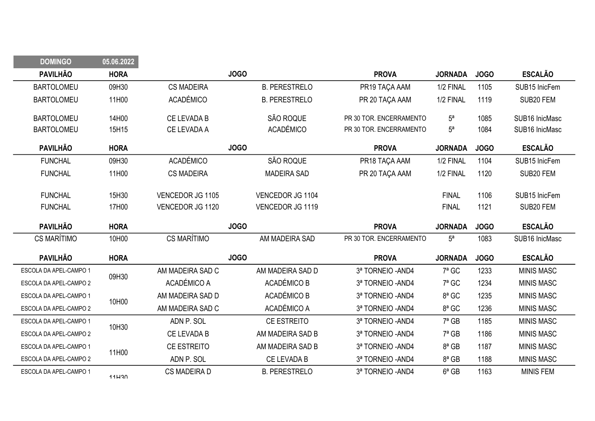| <b>DOMINGO</b>         | 05.06.2022  |                    |                      |                         |                |             |                   |
|------------------------|-------------|--------------------|----------------------|-------------------------|----------------|-------------|-------------------|
| <b>PAVILHÃO</b>        | <b>HORA</b> |                    | <b>JOGO</b>          | <b>PROVA</b>            | <b>JORNADA</b> | <b>JOGO</b> | <b>ESCALÃO</b>    |
| <b>BARTOLOMEU</b>      | 09H30       | <b>CS MADEIRA</b>  | <b>B. PERESTRELO</b> | PR19 TAÇA AAM           | 1/2 FINAL      | 1105        | SUB15 InicFem     |
| <b>BARTOLOMEU</b>      | 11H00       | <b>ACADÉMICO</b>   | <b>B. PERESTRELO</b> | PR 20 TAÇA AAM          | 1/2 FINAL      | 1119        | SUB20 FEM         |
| <b>BARTOLOMEU</b>      | 14H00       | CE LEVADA B        | SÃO ROQUE            | PR 30 TOR. ENCERRAMENTO | $5^a$          | 1085        | SUB16 InicMasc    |
| <b>BARTOLOMEU</b>      | 15H15       | CE LEVADA A        | <b>ACADÉMICO</b>     | PR 30 TOR. ENCERRAMENTO | 5 <sup>a</sup> | 1084        | SUB16 InicMasc    |
| <b>PAVILHÃO</b>        | <b>HORA</b> |                    | <b>JOGO</b>          | <b>PROVA</b>            | <b>JORNADA</b> | <b>JOGO</b> | <b>ESCALÃO</b>    |
| <b>FUNCHAL</b>         | 09H30       | <b>ACADÉMICO</b>   | SÃO ROQUE            | PR18 TAÇA AAM           | 1/2 FINAL      | 1104        | SUB15 InicFem     |
| <b>FUNCHAL</b>         | 11H00       | <b>CS MADEIRA</b>  | <b>MADEIRA SAD</b>   | PR 20 TAÇA AAM          | 1/2 FINAL      | 1120        | SUB20 FEM         |
| <b>FUNCHAL</b>         | 15H30       | VENCEDOR JG 1105   | VENCEDOR JG 1104     |                         | <b>FINAL</b>   | 1106        | SUB15 InicFem     |
| <b>FUNCHAL</b>         | 17H00       | VENCEDOR JG 1120   | VENCEDOR JG 1119     |                         | <b>FINAL</b>   | 1121        | SUB20 FEM         |
|                        |             |                    |                      |                         |                |             |                   |
| <b>PAVILHÃO</b>        | <b>HORA</b> |                    | <b>JOGO</b>          | <b>PROVA</b>            | <b>JORNADA</b> | <b>JOGO</b> | <b>ESCALÃO</b>    |
| <b>CS MARÍTIMO</b>     | 10H00       | CS MARÍTIMO        | AM MADEIRA SAD       | PR 30 TOR. ENCERRAMENTO | 5 <sup>a</sup> | 1083        | SUB16 InicMasc    |
| <b>PAVILHÃO</b>        | <b>HORA</b> |                    | <b>JOGO</b>          | <b>PROVA</b>            | <b>JORNADA</b> | <b>JOGO</b> | <b>ESCALÃO</b>    |
| ESCOLA DA APEL-CAMPO 1 |             | AM MADEIRA SAD C   | AM MADEIRA SAD D     | 3ª TORNEIO - AND4       | $7a$ GC        | 1233        | <b>MINIS MASC</b> |
| ESCOLA DA APEL-CAMPO 2 | 09H30       | ACADÉMICO A        | ACADÉMICO B          | 3ª TORNEIO - AND4       | $7a$ GC        | 1234        | <b>MINIS MASC</b> |
| ESCOLA DA APEL-CAMPO 1 |             | AM MADEIRA SAD D   | ACADÉMICO B          | 3ª TORNEIO - AND4       | 8ª GC          | 1235        | <b>MINIS MASC</b> |
| ESCOLA DA APEL-CAMPO 2 | 10H00       | AM MADEIRA SAD C   | ACADÉMICO A          | 3ª TORNEIO - AND4       | 8ª GC          | 1236        | <b>MINIS MASC</b> |
| ESCOLA DA APEL-CAMPO 1 |             | ADN P. SOL         | CE ESTREITO          | 3ª TORNEIO - AND4       | $7^a$ GB       | 1185        | <b>MINIS MASC</b> |
| ESCOLA DA APEL-CAMPO 2 | 10H30       | CE LEVADA B        | AM MADEIRA SAD B     | 3ª TORNEIO - AND4       | $7^a$ GB       | 1186        | <b>MINIS MASC</b> |
| ESCOLA DA APEL-CAMPO 1 |             | <b>CE ESTREITO</b> | AM MADEIRA SAD B     | 3ª TORNEIO - AND4       | $8a$ GB        | 1187        | <b>MINIS MASC</b> |
| ESCOLA DA APEL-CAMPO 2 | 11H00       | ADN P. SOL         | CE LEVADA B          | 3ª TORNEIO - AND4       | $8a$ GB        | 1188        | <b>MINIS MASC</b> |

DOMINGO 05.06.2022